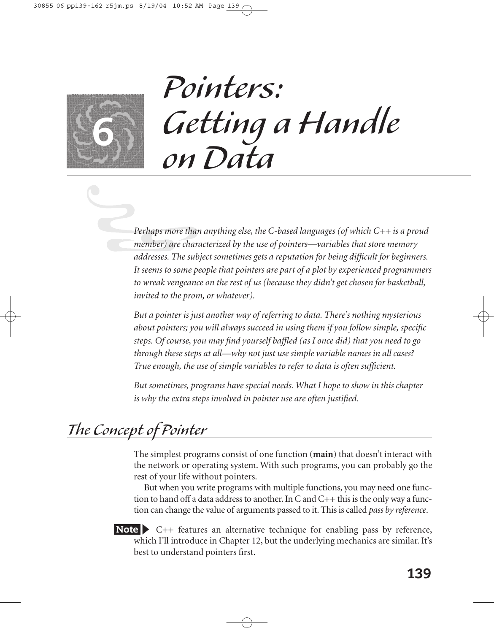

*Pointers: Getting a Handle on Data* **<sup>6</sup>**

*Perhaps more than anything else, the C-based languages (of which C++ is a proud member) are characterized by the use of pointers—variables that store memory addresses. The subject sometimes gets a reputation for being difficult for beginners. It seems to some people that pointers are part of a plot by experienced programmers to wreak vengeance on the rest of us (because they didn't get chosen for basketball, invited to the prom, or whatever).*

*But a pointer is just another way of referring to data. There's nothing mysterious about pointers; you will always succeed in using them if you follow simple, specific steps. Of course, you may find yourself baffled (as I once did) that you need to go through these steps at all—why not just use simple variable names in all cases? True enough, the use of simple variables to refer to data is often sufficient.*

*But sometimes, programs have special needs. What I hope to show in this chapter is why the extra steps involved in pointer use are often justified.*

# *The Concept of Pointer*

The simplest programs consist of one function (**main**) that doesn't interact with the network or operating system. With such programs, you can probably go the rest of your life without pointers.

But when you write programs with multiple functions, you may need one function to hand off a data address to another. In C and C++ this is the only way a function can change the value of arguments passed to it. This is called *pass by reference*.

Note > C++ features an alternative technique for enabling pass by reference, which I'll introduce in Chapter 12, but the underlying mechanics are similar. It's best to understand pointers first.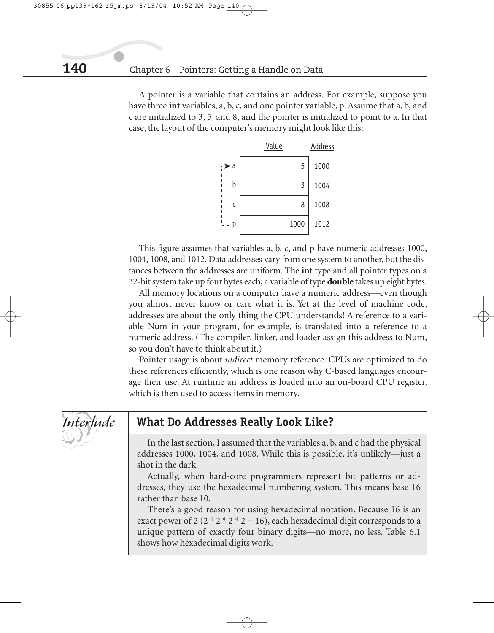A pointer is a variable that contains an address. For example, suppose you have three **int** variables, a, b, c, and one pointer variable, p. Assume that a, b, and c are initialized to 3, 5, and 8, and the pointer is initialized to point to a. In that case, the layout of the computer's memory might look like this:



This figure assumes that variables a, b, c, and p have numeric addresses 1000, 1004, 1008, and 1012. Data addresses vary from one system to another, but the distances between the addresses are uniform. The **int** type and all pointer types on a 32-bit system take up four bytes each; a variable of type **double** takes up eight bytes.

All memory locations on a computer have a numeric address—even though you almost never know or care what it is. Yet at the level of machine code, addresses are about the only thing the CPU understands! A reference to a variable Num in your program, for example, is translated into a reference to a numeric address. (The compiler, linker, and loader assign this address to Num, so you don't have to think about it.)

Pointer usage is about *indirect* memory reference. CPUs are optimized to do these references efficiently, which is one reason why C-based languages encourage their use. At runtime an address is loaded into an on-board CPU register, which is then used to access items in memory.

## *Interlude* **What Do Addresses Really Look Like?**

In the last section, I assumed that the variables a, b, and c had the physical addresses 1000, 1004, and 1008. While this is possible, it's unlikely—just a shot in the dark.

Actually, when hard-core programmers represent bit patterns or addresses, they use the hexadecimal numbering system. This means base 16 rather than base 10.

There's a good reason for using hexadecimal notation. Because 16 is an exact power of 2 ( $2 * 2 * 2 * 2 = 16$ ), each hexadecimal digit corresponds to a unique pattern of exactly four binary digits—no more, no less. Table 6.1 shows how hexadecimal digits work.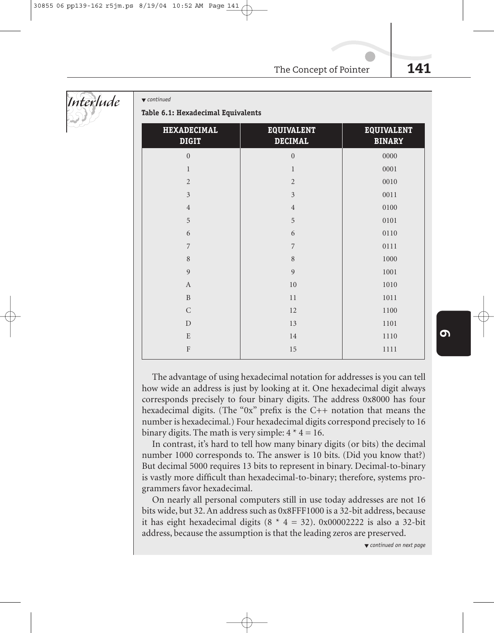▼ *continued*

*Interlude*

The Concept of Pointer

| Table 6.1: Hexadecimal Equivalents |                                     |                                    |  |  |  |  |  |  |
|------------------------------------|-------------------------------------|------------------------------------|--|--|--|--|--|--|
| <b>HEXADECIMAL</b><br><b>DIGIT</b> | <b>EQUIVALENT</b><br><b>DECIMAL</b> | <b>EQUIVALENT</b><br><b>BINARY</b> |  |  |  |  |  |  |
| $\overline{0}$                     | $\overline{0}$                      | 0000                               |  |  |  |  |  |  |
| $\mathbf{1}$                       | $\mathbf{1}$                        | 0001                               |  |  |  |  |  |  |
| $\overline{2}$                     | $\overline{2}$                      | 0010                               |  |  |  |  |  |  |
| 3                                  | 3                                   | 0011                               |  |  |  |  |  |  |
| $\overline{4}$                     | $\overline{4}$                      | 0100                               |  |  |  |  |  |  |
| 5                                  | 5                                   | 0101                               |  |  |  |  |  |  |
| 6                                  | 6                                   | 0110                               |  |  |  |  |  |  |
| 7                                  | 7                                   | 0111                               |  |  |  |  |  |  |
| 8                                  | 8                                   | 1000                               |  |  |  |  |  |  |
| 9                                  | 9                                   | 1001                               |  |  |  |  |  |  |
| $\mathbf{A}$                       | 10                                  | 1010                               |  |  |  |  |  |  |
| $\mathbf{B}$                       | 11                                  | 1011                               |  |  |  |  |  |  |
| $\mathcal{C}$                      | 12                                  | 1100                               |  |  |  |  |  |  |
| $\mathbf{D}$                       | 13                                  | 1101                               |  |  |  |  |  |  |
| E                                  | 14                                  | 1110                               |  |  |  |  |  |  |
| F                                  | 15                                  | 1111                               |  |  |  |  |  |  |
|                                    |                                     |                                    |  |  |  |  |  |  |

The advantage of using hexadecimal notation for addresses is you can tell how wide an address is just by looking at it. One hexadecimal digit always corresponds precisely to four binary digits. The address 0x8000 has four hexadecimal digits. (The "0x" prefix is the C++ notation that means the number is hexadecimal.) Four hexadecimal digits correspond precisely to 16 binary digits. The math is very simple:  $4 * 4 = 16$ .

In contrast, it's hard to tell how many binary digits (or bits) the decimal number 1000 corresponds to. The answer is 10 bits. (Did you know that?) But decimal 5000 requires 13 bits to represent in binary. Decimal-to-binary is vastly more difficult than hexadecimal-to-binary; therefore, systems programmers favor hexadecimal.

On nearly all personal computers still in use today addresses are not 16 bits wide, but 32. An address such as 0x8FFF1000 is a 32-bit address, because it has eight hexadecimal digits  $(8 * 4 = 32)$ . 0x00002222 is also a 32-bit address, because the assumption is that the leading zeros are preserved.

**141**

▼ *continued on next page*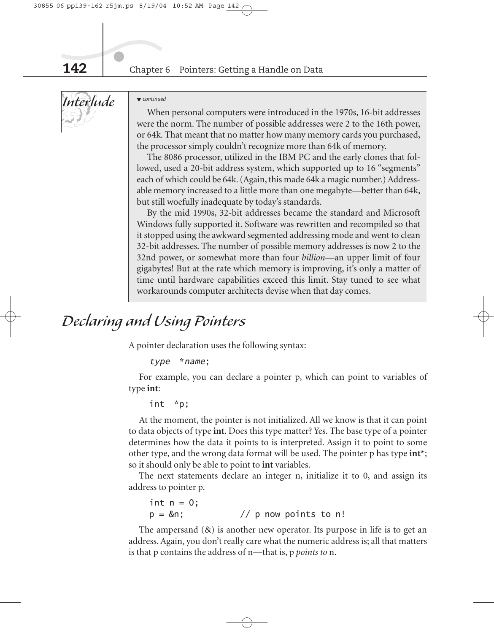

### ▼ *continued*

When personal computers were introduced in the 1970s, 16-bit addresses were the norm. The number of possible addresses were 2 to the 16th power, or 64k. That meant that no matter how many memory cards you purchased, the processor simply couldn't recognize more than 64k of memory.

The 8086 processor, utilized in the IBM PC and the early clones that followed, used a 20-bit address system, which supported up to 16 "segments" each of which could be 64k. (Again, this made 64k a magic number.) Addressable memory increased to a little more than one megabyte—better than 64k, but still woefully inadequate by today's standards.

By the mid 1990s, 32-bit addresses became the standard and Microsoft Windows fully supported it. Software was rewritten and recompiled so that it stopped using the awkward segmented addressing mode and went to clean 32-bit addresses. The number of possible memory addresses is now 2 to the 32nd power, or somewhat more than four *billion*—an upper limit of four gigabytes! But at the rate which memory is improving, it's only a matter of time until hardware capabilities exceed this limit. Stay tuned to see what workarounds computer architects devise when that day comes.

# *Declaring and Using Pointers*

A pointer declaration uses the following syntax:

### *type* \**name*;

For example, you can declare a pointer p, which can point to variables of type **int**:

int \*p;

At the moment, the pointer is not initialized. All we know is that it can point to data objects of type **int**. Does this type matter? Yes. The base type of a pointer determines how the data it points to is interpreted. Assign it to point to some other type, and the wrong data format will be used. The pointer p has type **int\***; so it should only be able to point to **int** variables.

The next statements declare an integer n, initialize it to 0, and assign its address to pointer p.

int  $n = 0$ ;  $p = 8n$ ;  $\frac{1}{2}$  | p now points to n!

The ampersand (&) is another new operator. Its purpose in life is to get an address. Again, you don't really care what the numeric address is; all that matters is that p contains the address of n—that is, p *points to* n.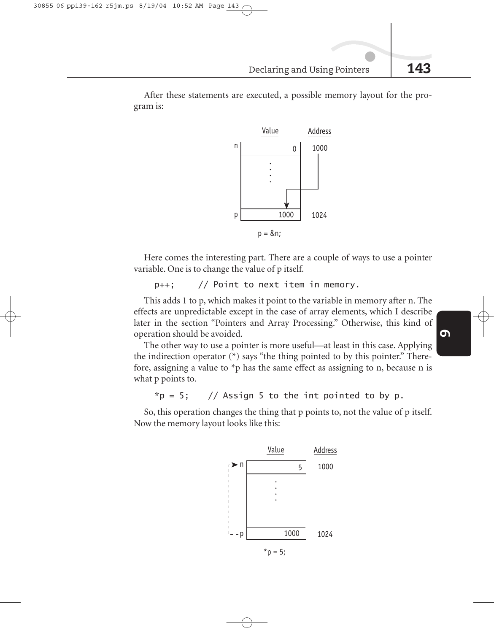

gram is:



Here comes the interesting part. There are a couple of ways to use a pointer variable. One is to change the value of p itself.

p++; // Point to next item in memory.

This adds 1 to p, which makes it point to the variable in memory after n. The effects are unpredictable except in the case of array elements, which I describe later in the section "Pointers and Array Processing." Otherwise, this kind of operation should be avoided.

The other way to use a pointer is more useful—at least in this case. Applying the indirection operator  $(*)$  says "the thing pointed to by this pointer." Therefore, assigning a value to  $\gamma$  has the same effect as assigning to n, because n is what p points to.

 $*p = 5$ ; // Assign 5 to the int pointed to by p.

So, this operation changes the thing that p points to, not the value of p itself. Now the memory layout looks like this:

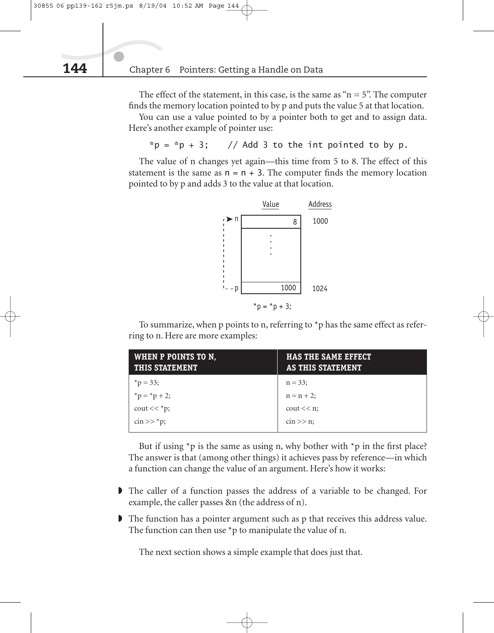The effect of the statement, in this case, is the same as " $n = 5$ ". The computer finds the memory location pointed to by p and puts the value 5 at that location.

You can use a value pointed to by a pointer both to get and to assign data. Here's another example of pointer use:

 $*p = xp + 3;$  // Add 3 to the int pointed to by p.

The value of n changes yet again—this time from 5 to 8. The effect of this statement is the same as  $n = n + 3$ . The computer finds the memory location pointed to by p and adds 3 to the value at that location.



To summarize, when p points to n, referring to  $\gamma$  has the same effect as referring to n. Here are more examples:

| WHEN P POINTS TO N,<br>THIS STATEMENT | <b>HAS THE SAME EFFECT</b><br>AS THIS STATEMENT |
|---------------------------------------|-------------------------------------------------|
| $*_{p} = 33;$                         | $n = 33;$                                       |
| *p = *p + 2;                          | $n = n + 2$ ;                                   |
| $\cot \ll \n<$ *p;                    | $\cot \ll n$ ;                                  |
| $\sin \gg \gamma$ $\gamma$ ;          | $\sin \gg n$ ;                                  |

But if using  $\gamma$  is the same as using n, why bother with  $\gamma$  in the first place? The answer is that (among other things) it achieves pass by reference—in which a function can change the value of an argument. Here's how it works:

- ◗ The caller of a function passes the address of a variable to be changed. For example, the caller passes &n (the address of n).
- ◗ The function has a pointer argument such as p that receives this address value. The function can then use  $\gamma$  to manipulate the value of n.

The next section shows a simple example that does just that.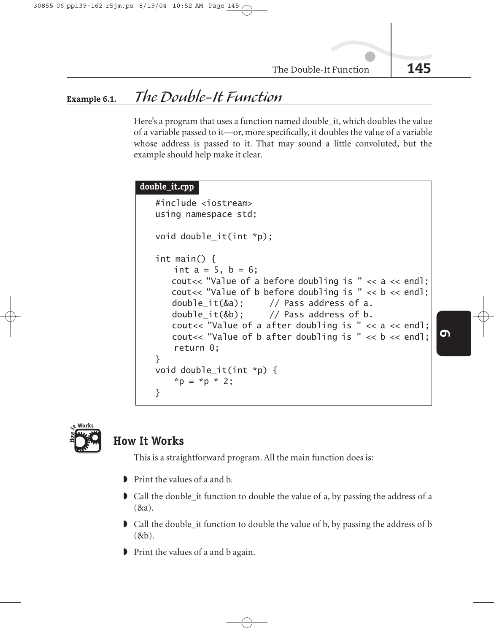The Double-It Function

# **Example 6.1.** *The Double-It Function*

Here's a program that uses a function named double\_it, which doubles the value of a variable passed to it—or, more specifically, it doubles the value of a variable whose address is passed to it. That may sound a little convoluted, but the example should help make it clear.

```
double_it.cpp
```

```
#include <iostream>
using namespace std;
void double it(int *p);
int main() {
   int a = 5, b = 6;
   cout<< "Value of a before doubling is " << a \ll end;
   cout<< "Value of b before doubling is " << b << endl;
   double_it(&a); // Pass address of a.
   double_it(&b); // Pass address of b.
   cout<< "Value of a after doubling is " << a << endl;
   cout<< "Value of b after doubling is " << b << endl;
    return 0;
}
void double_it(int *p) {
    *p = *p * 2;}
```


## **How It Works**

This is a straightforward program. All the main function does is:

- ◗ Print the values of a and b.
- ◗ Call the double\_it function to double the value of a, by passing the address of a (&a).
- ◗ Call the double\_it function to double the value of b, by passing the address of b (&b).
- ◗ Print the values of a and b again.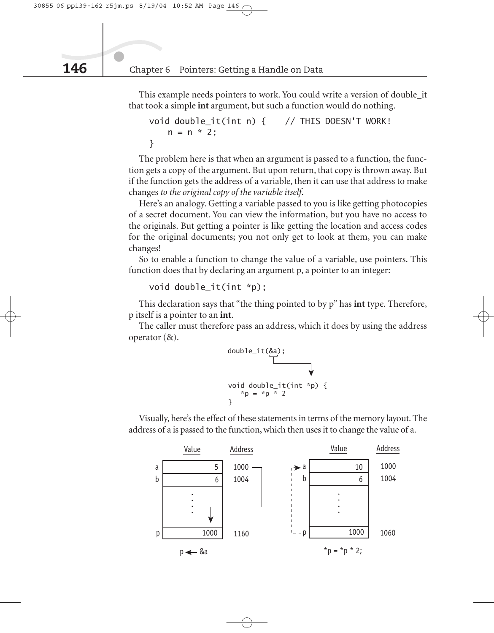This example needs pointers to work. You could write a version of double\_it that took a simple **int** argument, but such a function would do nothing.

```
void double_it(int n) { // THIS DOESN'T WORK!
   n = n * 2;
}
```
The problem here is that when an argument is passed to a function, the function gets a copy of the argument. But upon return, that copy is thrown away. But if the function gets the address of a variable, then it can use that address to make changes *to the original copy of the variable itself*.

Here's an analogy. Getting a variable passed to you is like getting photocopies of a secret document. You can view the information, but you have no access to the originals. But getting a pointer is like getting the location and access codes for the original documents; you not only get to look at them, you can make changes!

So to enable a function to change the value of a variable, use pointers. This function does that by declaring an argument p, a pointer to an integer:

void double it(int \*p);

This declaration says that "the thing pointed to by p" has **int** type. Therefore, p itself is a pointer to an **int**.

The caller must therefore pass an address, which it does by using the address operator (&).



Visually, here's the effect of these statements in terms of the memory layout. The address of a is passed to the function, which then uses it to change the value of a.

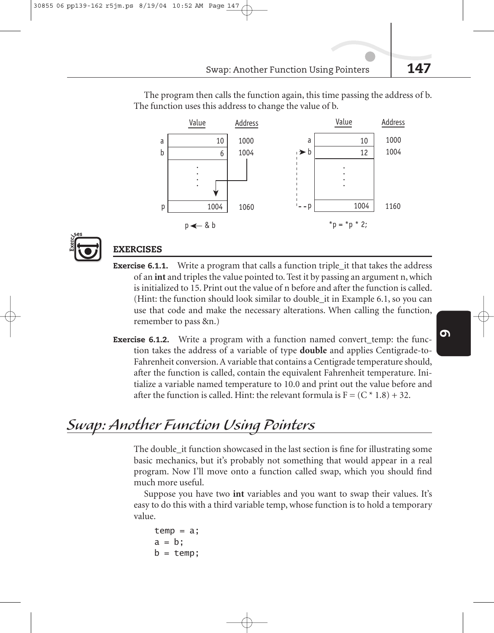The program then calls the function again, this time passing the address of b.



**Exercises**

## **EXERCISES**

30855 06 pp139-162 r5jm.ps 8/19/04 10:52 AM Page 147

- **Exercise 6.1.1.** Write a program that calls a function triple\_it that takes the address of an **int** and triples the value pointed to. Test it by passing an argument n, which is initialized to 15. Print out the value of n before and after the function is called. (Hint: the function should look similar to double\_it in Example 6.1, so you can use that code and make the necessary alterations. When calling the function, remember to pass &n.)
- **Exercise 6.1.2.** Write a program with a function named convert\_temp: the function takes the address of a variable of type **double** and applies Centigrade-to-Fahrenheit conversion. A variable that contains a Centigrade temperature should, after the function is called, contain the equivalent Fahrenheit temperature. Initialize a variable named temperature to 10.0 and print out the value before and after the function is called. Hint: the relevant formula is  $F = (C * 1.8) + 32$ .

# *Swap: Another Function Using Pointers*

The double\_it function showcased in the last section is fine for illustrating some basic mechanics, but it's probably not something that would appear in a real program. Now I'll move onto a function called swap, which you should find much more useful.

Suppose you have two **int** variables and you want to swap their values. It's easy to do this with a third variable temp, whose function is to hold a temporary value.

```
temp = a;a = b:
b = \text{temp}:
```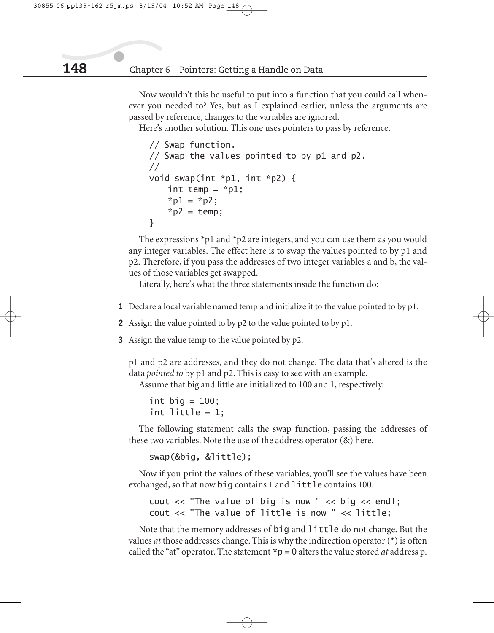Now wouldn't this be useful to put into a function that you could call whenever you needed to? Yes, but as I explained earlier, unless the arguments are passed by reference, changes to the variables are ignored.

Here's another solution. This one uses pointers to pass by reference.

```
// Swap function.
// Swap the values pointed to by p1 and p2.
//
void swap(int *p1, int *p2) {
   int temp = *p1;
   *p1 = *p2;*p2 = temp;}
```
The expressions  $\phi$ 1 and  $\phi$ 2 are integers, and you can use them as you would any integer variables. The effect here is to swap the values pointed to by p1 and p2. Therefore, if you pass the addresses of two integer variables a and b, the values of those variables get swapped.

Literally, here's what the three statements inside the function do:

- **1** Declare a local variable named temp and initialize it to the value pointed to by p1.
- **2** Assign the value pointed to by p2 to the value pointed to by p1.
- **3** Assign the value temp to the value pointed by p2.

p1 and p2 are addresses, and they do not change. The data that's altered is the data *pointed to* by p1 and p2. This is easy to see with an example.

Assume that big and little are initialized to 100 and 1, respectively.

```
int big = 100;
int little = 1;
```
The following statement calls the swap function, passing the addresses of these two variables. Note the use of the address operator (&) here.

```
swap(&big, &little);
```
Now if you print the values of these variables, you'll see the values have been exchanged, so that now big contains 1 and little contains 100.

cout  $\ll$  "The value of big is now " $\ll$  big  $\ll$  endl; cout << "The value of little is now " << little;

Note that the memory addresses of big and little do not change. But the values *at* those addresses change. This is why the indirection operator (\*) is often called the "at" operator. The statement  $\dot{p} = 0$  alters the value stored *at* address p.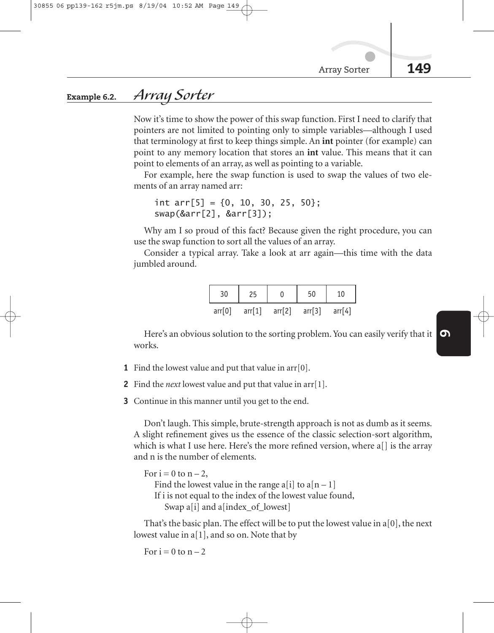# **Example 6.2.** *Array Sorter*

Now it's time to show the power of this swap function. First I need to clarify that pointers are not limited to pointing only to simple variables—although I used that terminology at first to keep things simple. An **int** pointer (for example) can point to any memory location that stores an **int** value. This means that it can point to elements of an array, as well as pointing to a variable.

For example, here the swap function is used to swap the values of two elements of an array named arr:

```
int arr[5] = \{0, 10, 30, 25, 50\};swap(&arr[2], &arr[3]);
```
Why am I so proud of this fact? Because given the right procedure, you can use the swap function to sort all the values of an array.

Consider a typical array. Take a look at arr again—this time with the data jumbled around.

| 30     | 25     |                       | 50     | 10     |  |
|--------|--------|-----------------------|--------|--------|--|
| arr[0] | arr[1] | arr $\lceil 2 \rceil$ | arr[3] | arr[4] |  |

Here's an obvious solution to the sorting problem. You can easily verify that it works.

- **1** Find the lowest value and put that value in arr[0].
- **2** Find the *next* lowest value and put that value in arr[1].
- **3** Continue in this manner until you get to the end.

Don't laugh. This simple, brute-strength approach is not as dumb as it seems. A slight refinement gives us the essence of the classic selection-sort algorithm, which is what I use here. Here's the more refined version, where a[] is the array and n is the number of elements.

```
For i = 0 to n - 2,
  Find the lowest value in the range a[i] to a[n-1]If i is not equal to the index of the lowest value found,
     Swap a[i] and a[index_of_lowest]
```
That's the basic plan. The effect will be to put the lowest value in a[0], the next lowest value in a[1], and so on. Note that by

For  $i = 0$  to  $n - 2$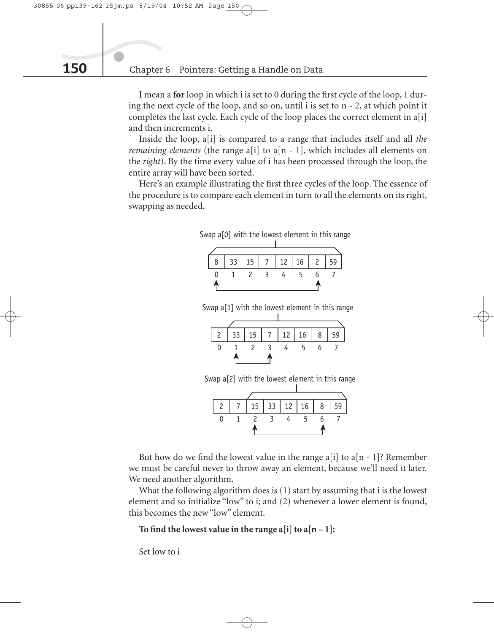I mean a **for** loop in which i is set to 0 during the first cycle of the loop, 1 during the next cycle of the loop, and so on, until i is set to n - 2, at which point it completes the last cycle. Each cycle of the loop places the correct element in a[i] and then increments i.

Inside the loop, a[i] is compared to a range that includes itself and all *the remaining elements* (the range a[i] to a[n - 1], which includes all elements on the *right*). By the time every value of i has been processed through the loop, the entire array will have been sorted.

Here's an example illustrating the first three cycles of the loop. The essence of the procedure is to compare each element in turn to all the elements on its right, swapping as needed.

|  |  | Swap a <sup>[0]</sup> with the lowest element in this range |  |  |
|--|--|-------------------------------------------------------------|--|--|
|  |  |                                                             |  |  |

| 33 | $15 \mid 7 \mid$ |  | $12 \mid 16 \mid 2$ |  |
|----|------------------|--|---------------------|--|
|    |                  |  |                     |  |
|    |                  |  |                     |  |

Swap a[1] with the lowest element in this range

|  | $33 \mid 15 \mid 7 \mid 12 \mid 16 \mid 8$ |  |  | 59 |
|--|--------------------------------------------|--|--|----|
|  |                                            |  |  |    |

Swap a[2] with the lowest element in this range

|  |  | $15 \mid 33 \mid 12 \mid 16 \mid 8$ |  | 59 |
|--|--|-------------------------------------|--|----|
|  |  |                                     |  |    |
|  |  |                                     |  |    |

But how do we find the lowest value in the range  $a[i]$  to  $a[n-1]$ ? Remember we must be careful never to throw away an element, because we'll need it later. We need another algorithm.

What the following algorithm does is (1) start by assuming that i is the lowest element and so initialize "low" to i; and (2) whenever a lower element is found, this becomes the new "low" element.

### To find the lowest value in the range  $a[i]$  to  $a[n-1]$ :

Set low to i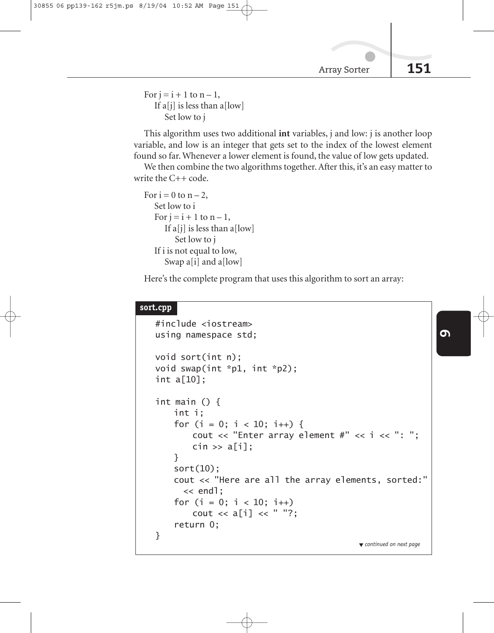```
For j = i + 1 to n - 1,
   If a[j] is less than a[low]Set low to j
```
This algorithm uses two additional **int** variables, j and low: j is another loop variable, and low is an integer that gets set to the index of the lowest element found so far. Whenever a lower element is found, the value of low gets updated.

We then combine the two algorithms together. After this, it's an easy matter to write the C++ code.

```
For i = 0 to n - 2,
   Set low to i
   For j = i + 1 to n - 1,
      If a[j] is less than a[low]Set low to j
   If i is not equal to low,
      Swap a[i] and a[low]
```
Here's the complete program that uses this algorithm to sort an array:

## **sort.cpp**

```
#include <iostream>
using namespace std;
void sort(int n);
void swap(int *p1, int *p2);
int a[10];
int main () {
   int i;
    for (i = 0; i < 10; i++) {
        cout << "Enter array element #" << i << ": ";
       \sin \gg a[i];}
    sort(10);
   cout << "Here are all the array elements, sorted:" 
      << endl;
    for (i = 0; i < 10; i++)cout \ll a[i] \ll ""?;
    return 0;
}
                                           ▼ continued on next page
```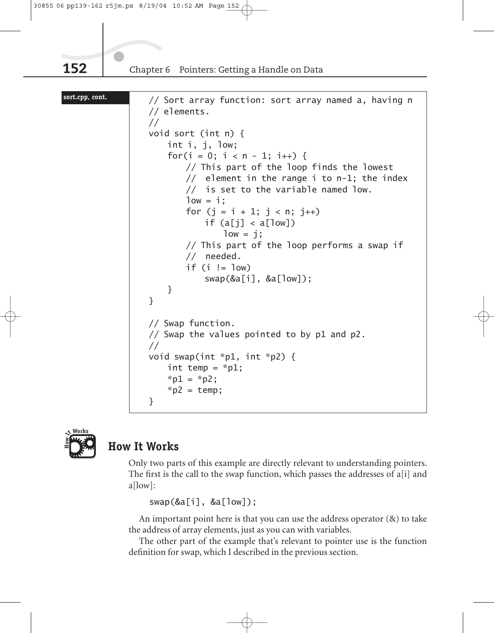



```
// Sort array function: sort array named a, having n 
                 // elements.
                 //
                 void sort (int n) {
                     int i, j, low;
                     for(i = 0; i < n - 1; i++) {
                         // This part of the loop finds the lowest
                         // element in the range i to n-1; the index
                        // is set to the variable named low.
                         low = i;for (j = i + 1; j < n; j++)if (a[j] < a[low])low = j;// This part of the loop performs a swap if
                        // needed.
                         if (i != 1ow)swap(&a[i], &a[low]);
                     }
                 }
                 // Swap function.
                 // Swap the values pointed to by p1 and p2.
                 //
                 void swap(int *p1, int *p2) {
                     int temp = *p1;
                     *p1 = *p2;*p2 = temp;}
sort.cpp, cont.
```


# **How It Works**

Only two parts of this example are directly relevant to understanding pointers. The first is the call to the swap function, which passes the addresses of a[i] and a[low]:

```
swap(&a[i], &a[low]);
```
An important point here is that you can use the address operator (&) to take the address of array elements, just as you can with variables.

The other part of the example that's relevant to pointer use is the function definition for swap, which I described in the previous section.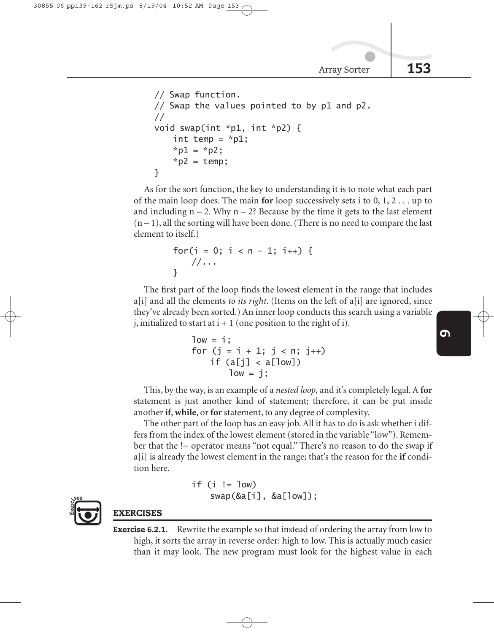## Array Sorter

```
// Swap function.
// Swap the values pointed to by p1 and p2.
//
void swap(int *p1, int *p2) {
   int temp = *p1;
   *p1 = *p2;*p2 = temp;}
```
As for the sort function, the key to understanding it is to note what each part of the main loop does. The main **for** loop successively sets i to 0, 1, 2 . . . up to and including  $n - 2$ . Why  $n - 2$ ? Because by the time it gets to the last element  $(n-1)$ , all the sorting will have been done. (There is no need to compare the last element to itself.)

for(i = 0; i < n - 1; i++) { //... }

The first part of the loop finds the lowest element in the range that includes a[i] and all the elements *to its right*. (Items on the left of a[i] are ignored, since they've already been sorted.) An inner loop conducts this search using a variable j, initialized to start at  $i + 1$  (one position to the right of i).

```
low = i:
for (j = i + 1; j < n; j++)if (a[j] < a[low])low = j;
```
This, by the way, is an example of a *nested loop,* and it's completely legal. A **for** statement is just another kind of statement; therefore, it can be put inside another **if**, **while**, or **for** statement, to any degree of complexity.

The other part of the loop has an easy job. All it has to do is ask whether i differs from the index of the lowest element (stored in the variable "low"). Remember that the != operator means "not equal." There's no reason to do the swap if a[i] is already the lowest element in the range; that's the reason for the **if** condition here.

```
if (i != 1ow)swap(&a[i], &a[low]);
```


## **EXERCISES**

**Exercise 6.2.1.** Rewrite the example so that instead of ordering the array from low to high, it sorts the array in reverse order: high to low. This is actually much easier than it may look. The new program must look for the highest value in each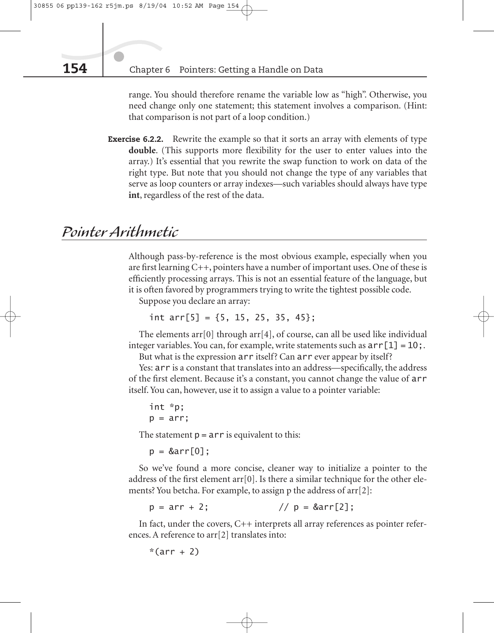range. You should therefore rename the variable low as "high". Otherwise, you need change only one statement; this statement involves a comparison. (Hint: that comparison is not part of a loop condition.)

**Exercise 6.2.2.** Rewrite the example so that it sorts an array with elements of type **double**. (This supports more flexibility for the user to enter values into the array.) It's essential that you rewrite the swap function to work on data of the right type. But note that you should not change the type of any variables that serve as loop counters or array indexes—such variables should always have type **int**, regardless of the rest of the data.

# *Pointer Arithmetic*

Although pass-by-reference is the most obvious example, especially when you are first learning C++, pointers have a number of important uses. One of these is efficiently processing arrays. This is not an essential feature of the language, but it is often favored by programmers trying to write the tightest possible code.

Suppose you declare an array:

int arr[5] =  $\{5, 15, 25, 35, 45\}$ ;

The elements arr[0] through arr[4], of course, can all be used like individual integer variables. You can, for example, write statements such as  $\arref[1] = 10$ ;.

But what is the expression arr itself? Can arr ever appear by itself?

Yes: arr is a constant that translates into an address—specifically, the address of the first element. Because it's a constant, you cannot change the value of arr itself. You can, however, use it to assign a value to a pointer variable:

int \*p;  $p = arr;$ 

The statement  $p = arr$  is equivalent to this:

 $p = 8arr[0]$ ;

So we've found a more concise, cleaner way to initialize a pointer to the address of the first element  $\arctan(0)$ . Is there a similar technique for the other elements? You betcha. For example, to assign p the address of arr[2]:

 $p = arr + 2$ ;  $// p = 8arr[2];$ 

In fact, under the covers, C++ interprets all array references as pointer references. A reference to arr[2] translates into:

$$
*(arr + 2)
$$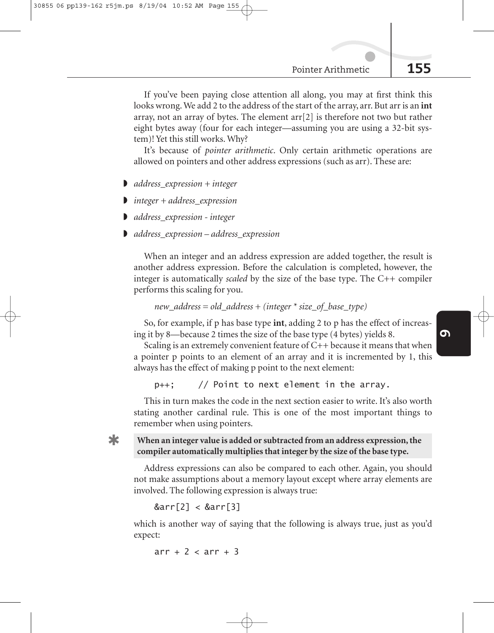If you've been paying close attention all along, you may at first think this looks wrong. We add 2 to the address of the start of the array, arr. But arr is an **int** array, not an array of bytes. The element arr[2] is therefore not two but rather eight bytes away (four for each integer—assuming you are using a 32-bit system)! Yet this still works. Why?

It's because of *pointer arithmetic*. Only certain arithmetic operations are allowed on pointers and other address expressions (such as arr). These are:

- ◗ *address\_expression + integer*
- ◗ *integer + address\_expression*
- ◗ *address\_expression integer*
- ◗ *address\_expression address\_expression*

When an integer and an address expression are added together, the result is another address expression. Before the calculation is completed, however, the integer is automatically *scaled* by the size of the base type. The C++ compiler performs this scaling for you.

*new\_address = old\_address + (integer \* size\_of\_base\_type)*

So, for example, if p has base type **int**, adding 2 to p has the effect of increasing it by 8—because 2 times the size of the base type (4 bytes) yields 8.

Scaling is an extremely convenient feature of C++ because it means that when a pointer p points to an element of an array and it is incremented by 1, this always has the effect of making p point to the next element:

 $p_{++}$ ; // Point to next element in the array.

This in turn makes the code in the next section easier to write. It's also worth stating another cardinal rule. This is one of the most important things to remember when using pointers.

✱

## **When an integer value is added or subtracted from an address expression, the compiler automatically multiplies that integer by the size of the base type.**

Address expressions can also be compared to each other. Again, you should not make assumptions about a memory layout except where array elements are involved. The following expression is always true:

## &arr[2] < &arr[3]

which is another way of saying that the following is always true, just as you'd expect:

```
arr + 2 < arr + 3
```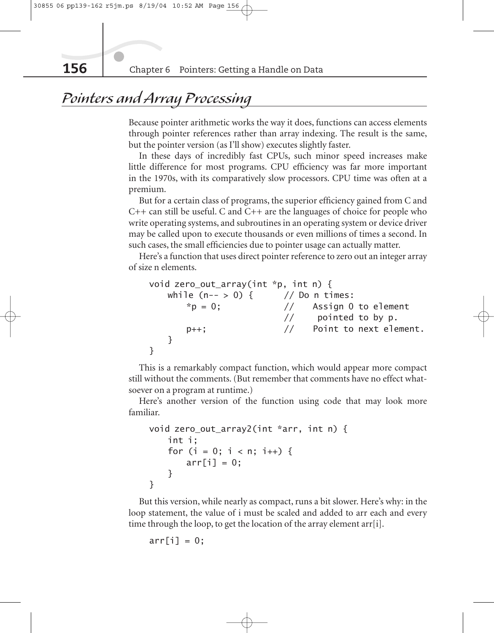

# *Pointers and Array Processing*

Because pointer arithmetic works the way it does, functions can access elements through pointer references rather than array indexing. The result is the same, but the pointer version (as I'll show) executes slightly faster.

In these days of incredibly fast CPUs, such minor speed increases make little difference for most programs. CPU efficiency was far more important in the 1970s, with its comparatively slow processors. CPU time was often at a premium.

But for a certain class of programs, the superior efficiency gained from C and C++ can still be useful. C and C++ are the languages of choice for people who write operating systems, and subroutines in an operating system or device driver may be called upon to execute thousands or even millions of times a second. In such cases, the small efficiencies due to pointer usage can actually matter.

Here's a function that uses direct pointer reference to zero out an integer array of size n elements.

```
void zero out array(int *p, int n) {
   while (n-- > 0) { // Do n times:
      *p = 0; // Assign 0 to element
                       // pointed to by p.
      p_{++}; \frac{1}{2} Point to next element.
   }
}
```
This is a remarkably compact function, which would appear more compact still without the comments. (But remember that comments have no effect whatsoever on a program at runtime.)

Here's another version of the function using code that may look more familiar.

```
void zero_out_array2(int *arr, int n) {
   int i;
   for (i = 0; i < n; i++) {
       arr[i] = 0;}
}
```
But this version, while nearly as compact, runs a bit slower. Here's why: in the loop statement, the value of i must be scaled and added to arr each and every time through the loop, to get the location of the array element arr[i].

$$
arr[i] = 0;
$$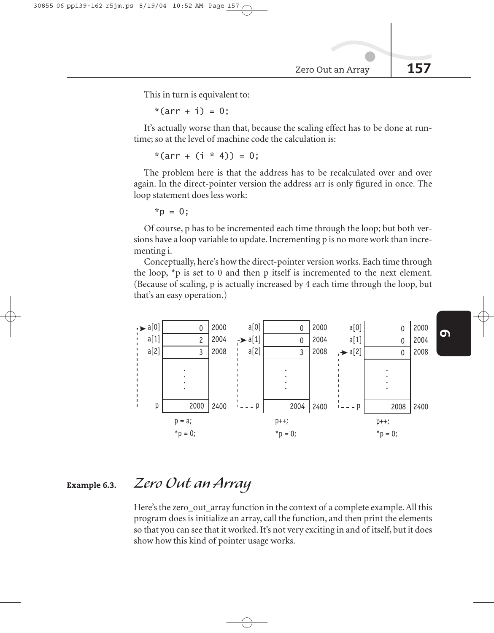30855 06 pp139-162 r5jm.ps 8/19/04 10:52 AM Page 157

This in turn is equivalent to:

 $*(arr + i) = 0;$ 

It's actually worse than that, because the scaling effect has to be done at runtime; so at the level of machine code the calculation is:

\*(arr + (i \* 4)) = 0;

The problem here is that the address has to be recalculated over and over again. In the direct-pointer version the address arr is only figured in once. The loop statement does less work:

 $*p = 0;$ 

Of course, p has to be incremented each time through the loop; but both versions have a loop variable to update. Incrementing p is no more work than incrementing i.

Conceptually, here's how the direct-pointer version works. Each time through the loop,  $\gamma$  is set to 0 and then p itself is incremented to the next element. (Because of scaling, p is actually increased by 4 each time through the loop, but that's an easy operation.)



# **Example 6.3.** *Zero Out an Array*

Here's the zero\_out\_array function in the context of a complete example. All this program does is initialize an array, call the function, and then print the elements so that you can see that it worked. It's not very exciting in and of itself, but it does show how this kind of pointer usage works.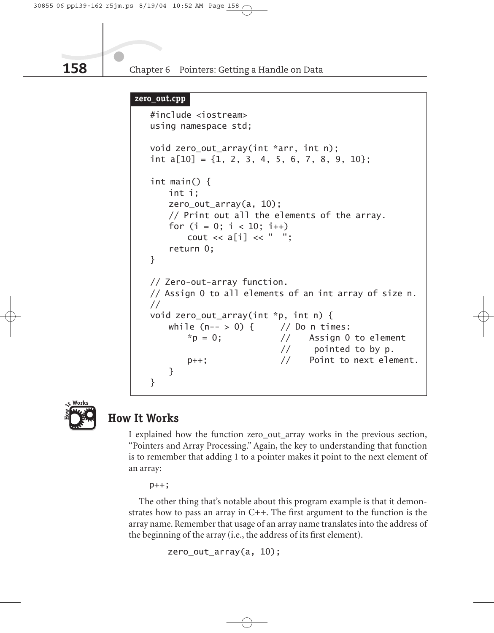### **zero\_out.cpp**

```
#include <iostream>
using namespace std;
void zero out array(int *arr, int n);
int a[10] = \{1, 2, 3, 4, 5, 6, 7, 8, 9, 10\};int main() {
   int i;
   zero out array(a, 10);// Print out all the elements of the array.
   for (i = 0; i < 10; i++)cout \lt\lt a[i] \lt\lt " ";
   return 0;
}
// Zero-out-array function.
// Assign 0 to all elements of an int array of size n.
//
void zero out array(int *p, int n) {
   while (n-- > 0) { // Do n times:
       *p = 0; // Assign 0 to element
                         // pointed to by p.
       p_{++}; \frac{1}{2} Point to next element.
   }
}
```


## **How It Works**

I explained how the function zero\_out\_array works in the previous section, "Pointers and Array Processing." Again, the key to understanding that function is to remember that adding 1 to a pointer makes it point to the next element of an array:

 $p++;$ 

The other thing that's notable about this program example is that it demonstrates how to pass an array in C++. The first argument to the function is the array name. Remember that usage of an array name translates into the address of the beginning of the array (i.e., the address of its first element).

```
zero_out_array(a, 10);
```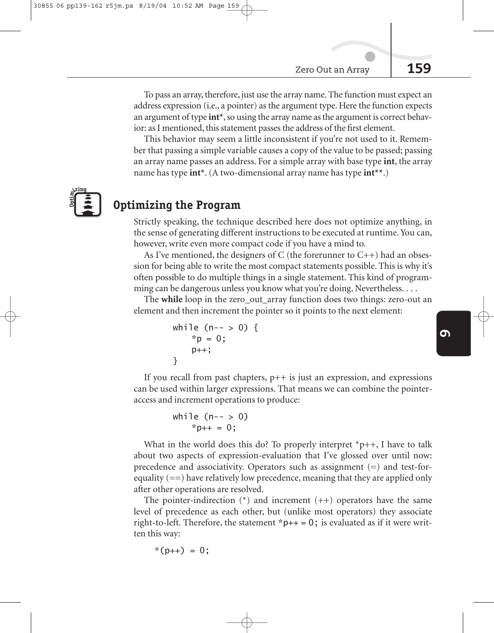Zero Out an Array

To pass an array, therefore, just use the array name. The function must expect an address expression (i.e., a pointer) as the argument type. Here the function expects an argument of type **int\***, so using the array name as the argument is correct behavior: as I mentioned, this statement passes the address of the first element.

This behavior may seem a little inconsistent if you're not used to it. Remember that passing a simple variable causes a copy of the value to be passed; passing an array name passes an address. For a simple array with base type **int**, the array name has type **int\***. (A two-dimensional array name has type **int\*\***.)



## **Optimizing the Program**

Strictly speaking, the technique described here does not optimize anything, in the sense of generating different instructions to be executed at runtime. You can, however, write even more compact code if you have a mind to.

As I've mentioned, the designers of C (the forerunner to  $C_{++}$ ) had an obsession for being able to write the most compact statements possible. This is why it's often possible to do multiple things in a single statement. This kind of programming can be dangerous unless you know what you're doing. Nevertheless....

The **while** loop in the zero\_out\_array function does two things: zero-out an element and then increment the pointer so it points to the next element:

$$
\begin{array}{rcl}\n\text{while (n-- > 0) } < \\
& \text{*p = 0;} \\
& \text{p++;} \\
\end{array}
$$

If you recall from past chapters,  $p++$  is just an expression, and expressions can be used within larger expressions. That means we can combine the pointeraccess and increment operations to produce:

> while  $(n-- > 0)$  $*p_{++} = 0$ ;

What in the world does this do? To properly interpret  $\gamma$ -+, I have to talk about two aspects of expression-evaluation that I've glossed over until now: precedence and associativity. Operators such as assignment  $(=)$  and test-forequality  $(==)$  have relatively low precedence, meaning that they are applied only after other operations are resolved.

The pointer-indirection  $(*)$  and increment  $(++)$  operators have the same level of precedence as each other, but (unlike most operators) they associate right-to-left. Therefore, the statement  $p++ = 0$ ; is evaluated as if it were written this way:

$$
*(p_{++}) = 0;
$$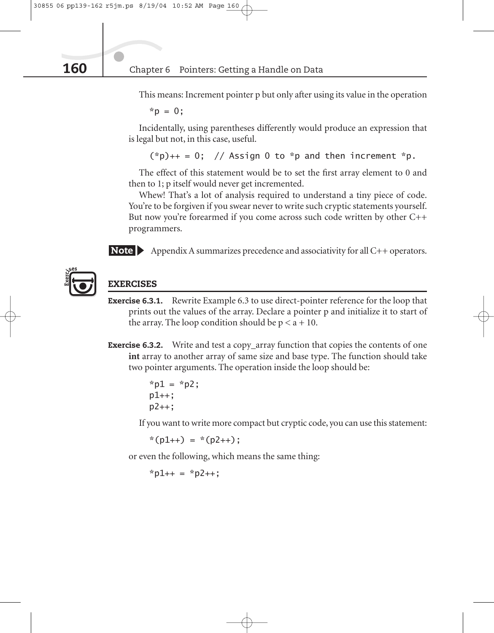This means: Increment pointer p but only after using its value in the operation

 $*p = 0;$ 

Incidentally, using parentheses differently would produce an expression that is legal but not, in this case, useful.

 $(*p)_{++} = 0$ ; // Assign 0 to \*p and then increment \*p.

The effect of this statement would be to set the first array element to 0 and then to 1; p itself would never get incremented.

Whew! That's a lot of analysis required to understand a tiny piece of code. You're to be forgiven if you swear never to write such cryptic statements yourself. But now you're forearmed if you come across such code written by other C++ programmers.



Note > Appendix A summarizes precedence and associativity for all C++ operators.



## **EXERCISES**

- **Exercise 6.3.1.** Rewrite Example 6.3 to use direct-pointer reference for the loop that prints out the values of the array. Declare a pointer p and initialize it to start of the array. The loop condition should be  $p < a + 10$ .
- **Exercise 6.3.2.** Write and test a copy\_array function that copies the contents of one **int** array to another array of same size and base type. The function should take two pointer arguments. The operation inside the loop should be:

 $*p1 = *p2;$ p1++; p2++;

If you want to write more compact but cryptic code, you can use this statement:

 $*(p1_{++}) = *(p2_{++});$ 

or even the following, which means the same thing:

 $*p1++ = *p2++;$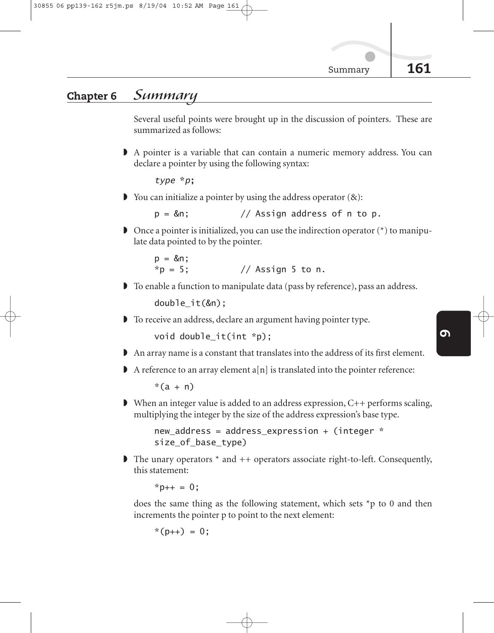

# **Chapter 6** *Summary*

Several useful points were brought up in the discussion of pointers. These are summarized as follows:

◗ A pointer is a variable that can contain a numeric memory address. You can declare a pointer by using the following syntax:

*type* **\****p***;**

▶ You can initialize a pointer by using the address operator  $(8)$ :

 $p = \&n$  // Assign address of n to p.

 $\triangleright$  Once a pointer is initialized, you can use the indirection operator (\*) to manipulate data pointed to by the pointer.

> $p = 8n$ :  $*p = 5$ ;  $//$  Assign 5 to n.

◗ To enable a function to manipulate data (pass by reference), pass an address.

double\_it(&n);

◗ To receive an address, declare an argument having pointer type.

void double\_it(int \*p);

- ◗ An array name is a constant that translates into the address of its first element.
- $\blacktriangleright$  A reference to an array element a[n] is translated into the pointer reference:

 $*(a + n)$ 

 $\triangleright$  When an integer value is added to an address expression, C++ performs scaling, multiplying the integer by the size of the address expression's base type.

```
new_address = address_expression + (integer *
size of base type)
```
 $\blacktriangleright$  The unary operators  $*$  and  $++$  operators associate right-to-left. Consequently, this statement:

 $*p_{++} = 0$ ;

does the same thing as the following statement, which sets  $\ast p$  to 0 and then increments the pointer p to point to the next element:

 $*(p_{++}) = 0;$